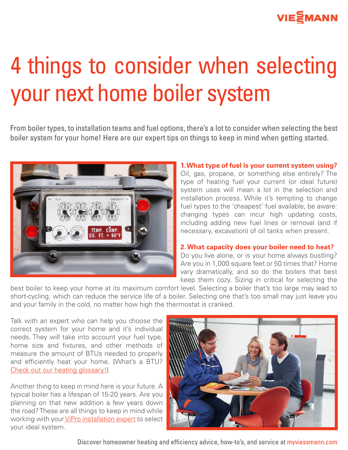

## 4 things to consider when selecting your next home boiler system

From boiler types, to installation teams and fuel options, there's a lot to consider when selecting the best boiler system for your home! Here are our expert tips on things to keep in mind when getting started.



**1. What type of fuel is your current system using?**  Oil, gas, propane, or something else entirely? The type of heating fuel your current (or ideal future) system uses will mean a lot in the selection and installation process. While it's tempting to change fuel types to the 'cheapest' fuel available, be aware: changing types can incur high updating costs, including adding new fuel lines or removal (and if necessary, excavation) of oil tanks when present.

**2. What capacity does your boiler need to heat?** Do you live alone, or is your home always bustling? Are you in 1,000 square feet or 50 times that? Home vary dramatically, and so do the boilers that best keep them cozy. Sizing in critical for selecting the

best boiler to keep your home at its maximum comfort level. Selecting a boiler that's too large may lead to short-cycling, which can reduce the service life of a boiler. Selecting one that's too small may just leave you and your family in the cold, no matter how high the thermostat is cranked.

Talk with an expert who can help you choose the correct system for your home and it's individual needs. They will take into account your fuel type, home size and fixtures, and other methods of measure the amount of BTUs needed to properly and efficiently heat your home. [What's a BTU? Check out our heating glossary!]

Another thing to keep in mind here is your future. A typical boiler has a lifespan of 15-20 years. Are you planning on that new addition a few years down the road? These are all things to keep in mind while working with your ViPro installation expert to select your ideal system.



Discover homeowner heating and efficiency advice, how-to's, and service at myviessmann.com